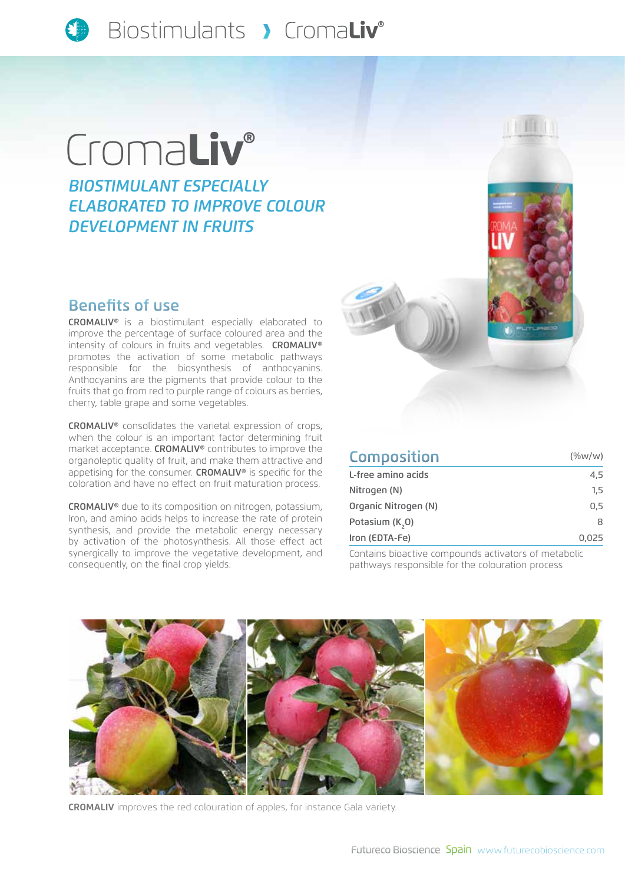

# Croma**Liv®**

*Biostimulant especially elaborated to improve COLOUR development in fruits* 

#### Benefits of use

CROMALIV® is a biostimulant especially elaborated to improve the percentage of surface coloured area and the intensity of colours in fruits and vegetables. CROMALIV® promotes the activation of some metabolic pathways responsible for the biosynthesis of anthocyanins. Anthocyanins are the pigments that provide colour to the fruits that go from red to purple range of colours as berries, cherry, table grape and some vegetables.

CROMALIV® consolidates the varietal expression of crops, when the colour is an important factor determining fruit market acceptance. CROMALIV® contributes to improve the organoleptic quality of fruit, and make them attractive and appetising for the consumer. CROMALIV® is specific for the coloration and have no effect on fruit maturation process.

CROMALIV® due to its composition on nitrogen, potassium, Iron, and amino acids helps to increase the rate of protein synthesis, and provide the metabolic energy necessary by activation of the photosynthesis. All those effect act synergically to improve the vegetative development, and consequently, on the final crop yields.





| <b>Composition</b>   | $(\%w/w)$ |
|----------------------|-----------|
| L-free amino acids   | 4,5       |
| Nitrogen (N)         | $1.5\,$   |
| Organic Nitrogen (N) | 0.5       |
| Potasium (K,0)       | 8         |
| Iron (EDTA-Fe)       | 0,025     |

Contains bioactive compounds activators of metabolic pathways responsible for the colouration process



**CROMALIV** improves the red colouration of apples, for instance Gala variety.